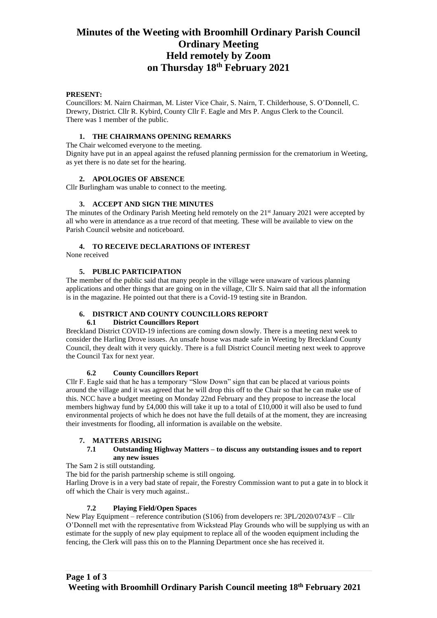# **Minutes of the Weeting with Broomhill Ordinary Parish Council Ordinary Meeting Held remotely by Zoom on Thursday 18th February 2021**

#### **PRESENT:**

Councillors: M. Nairn Chairman, M. Lister Vice Chair, S. Nairn, T. Childerhouse, S. O'Donnell, C. Drewry, District. Cllr R. Kybird, County Cllr F. Eagle and Mrs P. Angus Clerk to the Council. There was 1 member of the public.

#### **1. THE CHAIRMANS OPENING REMARKS**

The Chair welcomed everyone to the meeting.

Dignity have put in an appeal against the refused planning permission for the crematorium in Weeting, as yet there is no date set for the hearing.

#### **2. APOLOGIES OF ABSENCE**

Cllr Burlingham was unable to connect to the meeting.

## **3. ACCEPT AND SIGN THE MINUTES**

The minutes of the Ordinary Parish Meeting held remotely on the  $21<sup>st</sup>$  January 2021 were accepted by all who were in attendance as a true record of that meeting. These will be available to view on the Parish Council website and noticeboard.

## **4. TO RECEIVE DECLARATIONS OF INTEREST**

None received

#### **5. PUBLIC PARTICIPATION**

The member of the public said that many people in the village were unaware of various planning applications and other things that are going on in the village, Cllr S. Nairn said that all the information is in the magazine. He pointed out that there is a Covid-19 testing site in Brandon.

## **6. DISTRICT AND COUNTY COUNCILLORS REPORT**

#### **6.1 District Councillors Report**

Breckland District COVID-19 infections are coming down slowly. There is a meeting next week to consider the Harling Drove issues. An unsafe house was made safe in Weeting by Breckland County Council, they dealt with it very quickly. There is a full District Council meeting next week to approve the Council Tax for next year.

#### **6.2 County Councillors Report**

Cllr F. Eagle said that he has a temporary "Slow Down" sign that can be placed at various points around the village and it was agreed that he will drop this off to the Chair so that he can make use of this. NCC have a budget meeting on Monday 22nd February and they propose to increase the local members highway fund by £4,000 this will take it up to a total of £10,000 it will also be used to fund environmental projects of which he does not have the full details of at the moment, they are increasing their investments for flooding, all information is available on the website.

## **7. MATTERS ARISING**

#### **7.1 Outstanding Highway Matters – to discuss any outstanding issues and to report any new issues**

The Sam 2 is still outstanding.

The bid for the parish partnership scheme is still ongoing.

Harling Drove is in a very bad state of repair, the Forestry Commission want to put a gate in to block it off which the Chair is very much against..

## **7.2 Playing Field/Open Spaces**

New Play Equipment – reference contribution (S106) from developers re: 3PL/2020/0743/F – Cllr O'Donnell met with the representative from Wickstead Play Grounds who will be supplying us with an estimate for the supply of new play equipment to replace all of the wooden equipment including the fencing, the Clerk will pass this on to the Planning Department once she has received it.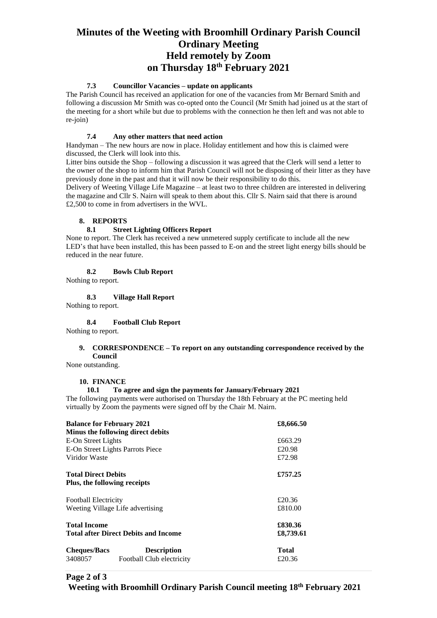# **Minutes of the Weeting with Broomhill Ordinary Parish Council Ordinary Meeting Held remotely by Zoom on Thursday 18th February 2021**

## **7.3 Councillor Vacancies – update on applicants**

The Parish Council has received an application for one of the vacancies from Mr Bernard Smith and following a discussion Mr Smith was co-opted onto the Council (Mr Smith had joined us at the start of the meeting for a short while but due to problems with the connection he then left and was not able to re-join)

## **7.4 Any other matters that need action**

Handyman – The new hours are now in place. Holiday entitlement and how this is claimed were discussed, the Clerk will look into this.

Litter bins outside the Shop – following a discussion it was agreed that the Clerk will send a letter to the owner of the shop to inform him that Parish Council will not be disposing of their litter as they have previously done in the past and that it will now be their responsibility to do this.

Delivery of Weeting Village Life Magazine – at least two to three children are interested in delivering the magazine and Cllr S. Nairn will speak to them about this. Cllr S. Nairn said that there is around £2,500 to come in from advertisers in the WVL.

## **8. REPORTS**

## **8.1 Street Lighting Officers Report**

None to report. The Clerk has received a new unmetered supply certificate to include all the new LED's that have been installed, this has been passed to E-on and the street light energy bills should be reduced in the near future.

#### **8.2 Bowls Club Report**

Nothing to report.

**8.3 Village Hall Report**

Nothing to report.

## **8.4 Football Club Report**

Nothing to report.

#### **9. CORRESPONDENCE – To report on any outstanding correspondence received by the Council**

None outstanding.

## **10. FINANCE**

## **10.1 To agree and sign the payments for January/February 2021**

The following payments were authorised on Thursday the 18th February at the PC meeting held virtually by Zoom the payments were signed off by the Chair M. Nairn.

| £8,666.50    |
|--------------|
| £663.29      |
|              |
| £20.98       |
| £72.98       |
| £757.25      |
|              |
| £20.36       |
| £810.00      |
| £830.36      |
| £8,739.61    |
| <b>Total</b> |
| £20.36       |
|              |